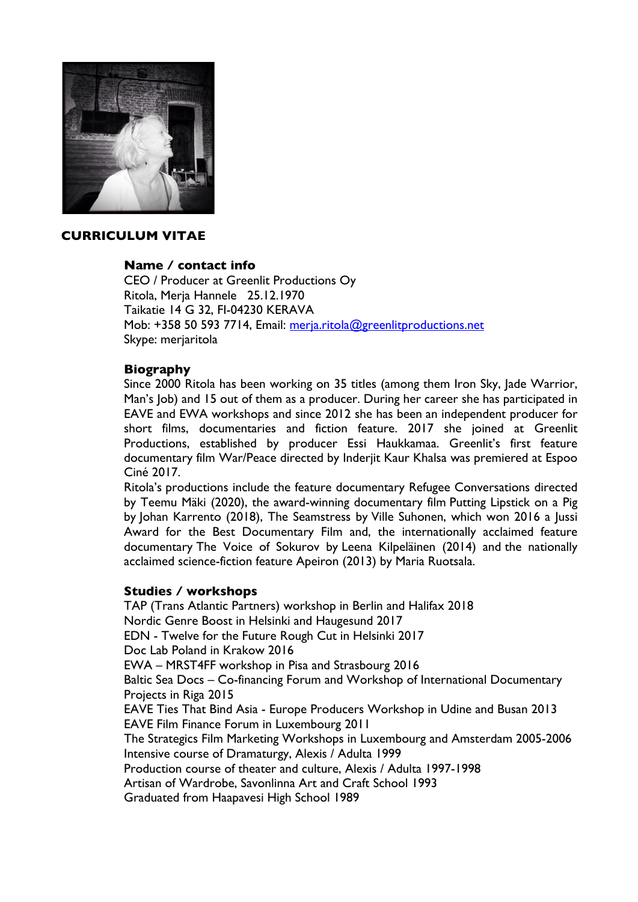

## **CURRICULUM VITAE**

## **Name / contact info**

CEO / Producer at Greenlit Productions Oy Ritola, Merja Hannele 25.12.1970 Taikatie 14 G 32, FI-04230 KERAVA Mob: +358 50 593 7714, Email: merja.ritola@greenlitproductions.net Skype: merjaritola

## **Biography**

Since 2000 Ritola has been working on 35 titles (among them Iron Sky, Jade Warrior, Man's Job) and 15 out of them as a producer. During her career she has participated in EAVE and EWA workshops and since 2012 she has been an independent producer for short films, documentaries and fiction feature. 2017 she joined at Greenlit Productions, established by producer Essi Haukkamaa. Greenlit's first feature documentary film War/Peace directed by Inderjit Kaur Khalsa was premiered at Espoo Ciné 2017.

Ritola's productions include the feature documentary Refugee Conversations directed by Teemu Mäki (2020), the award-winning documentary film Putting Lipstick on a Pig by Johan Karrento (2018), The Seamstress by Ville Suhonen, which won 2016 a Jussi Award for the Best Documentary Film and, the internationally acclaimed feature documentary The Voice of Sokurov by Leena Kilpeläinen (2014) and the nationally acclaimed science-fiction feature Apeiron (2013) by Maria Ruotsala.

## **Studies / workshops**

TAP (Trans Atlantic Partners) workshop in Berlin and Halifax 2018 Nordic Genre Boost in Helsinki and Haugesund 2017 EDN - Twelve for the Future Rough Cut in Helsinki 2017 Doc Lab Poland in Krakow 2016 EWA – MRST4FF workshop in Pisa and Strasbourg 2016 Baltic Sea Docs – Co-financing Forum and Workshop of International Documentary Projects in Riga 2015 EAVE Ties That Bind Asia - Europe Producers Workshop in Udine and Busan 2013 EAVE Film Finance Forum in Luxembourg 2011 The Strategics Film Marketing Workshops in Luxembourg and Amsterdam 2005-2006 Intensive course of Dramaturgy, Alexis / Adulta 1999 Production course of theater and culture, Alexis / Adulta 1997-1998 Artisan of Wardrobe, Savonlinna Art and Craft School 1993 Graduated from Haapavesi High School 1989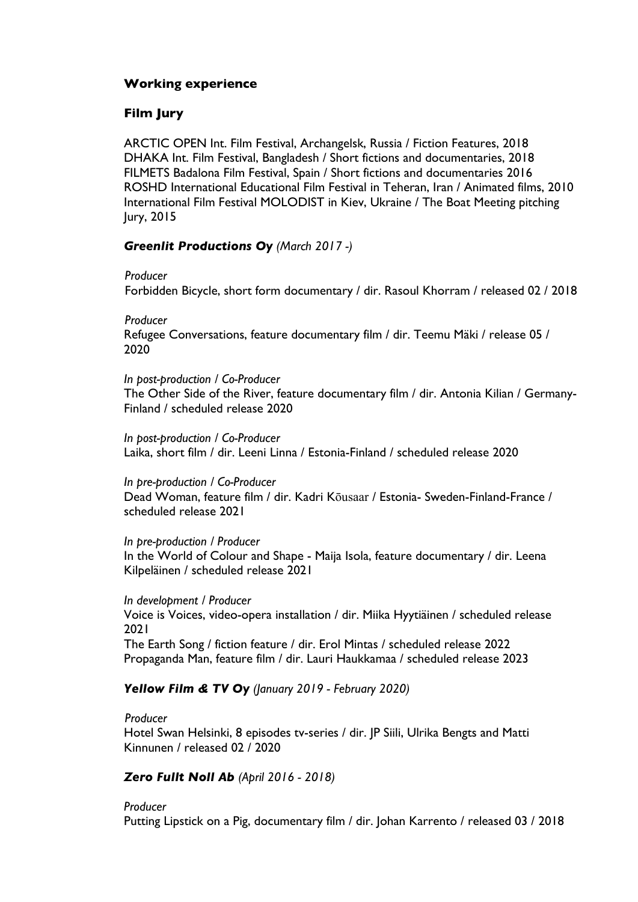## **Working experience**

# **Film Jury**

ARCTIC OPEN Int. Film Festival, Archangelsk, Russia / Fiction Features, 2018 DHAKA Int. Film Festival, Bangladesh / Short fictions and documentaries, 2018 FILMETS Badalona Film Festival, Spain / Short fictions and documentaries 2016 ROSHD International Educational Film Festival in Teheran, Iran / Animated films, 2010 International Film Festival MOLODIST in Kiev, Ukraine / The Boat Meeting pitching Jury, 2015

## *Greenlit Productions Oy (March 2017 -)*

 *Producer*

Forbidden Bicycle, short form documentary / dir. Rasoul Khorram / released 02 / 2018

 *Producer* Refugee Conversations, feature documentary film / dir. Teemu Mäki / release 05 / 2020

*In post-production / Co-Producer* The Other Side of the River, feature documentary film / dir. Antonia Kilian / Germany-Finland / scheduled release 2020

*In post-production / Co-Producer* Laika, short film / dir. Leeni Linna / Estonia-Finland / scheduled release 2020

*In pre-production / Co-Producer* Dead Woman, feature film / dir. Kadri Kōusaar / Estonia- Sweden-Finland-France / scheduled release 2021

*In pre-production / Producer* In the World of Colour and Shape - Maija Isola, feature documentary / dir. Leena Kilpeläinen / scheduled release 2021

*In development / Producer* Voice is Voices, video-opera installation / dir. Miika Hyytiäinen / scheduled release 2021 The Earth Song / fiction feature / dir. Erol Mintas / scheduled release 2022 Propaganda Man, feature film / dir. Lauri Haukkamaa / scheduled release 2023

## *Yellow Film & TV Oy (January 2019 - February 2020)*

 *Producer* Hotel Swan Helsinki, 8 episodes tv-series / dir. JP Siili, Ulrika Bengts and Matti Kinnunen / released 02 / 2020

# *Zero Fullt Noll Ab (April 2016 - 2018)*

*Producer* Putting Lipstick on a Pig, documentary film / dir. Johan Karrento / released 03 / 2018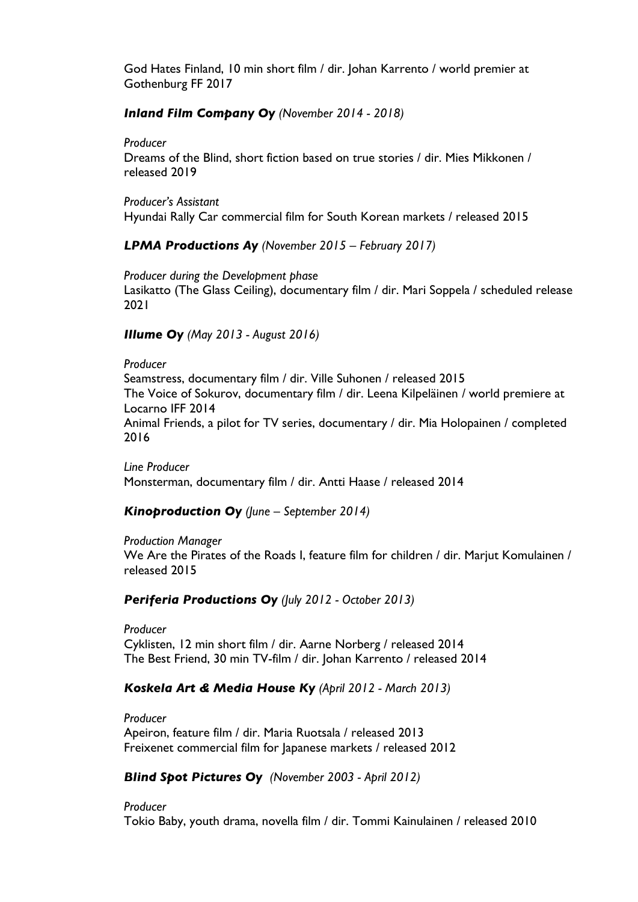God Hates Finland, 10 min short film / dir. Johan Karrento / world premier at Gothenburg FF 2017

## *Inland Film Company Oy (November 2014 - 2018)*

### *Producer*

Dreams of the Blind, short fiction based on true stories / dir. Mies Mikkonen / released 2019

*Producer's Assistant* Hyundai Rally Car commercial film for South Korean markets / released 2015

*LPMA Productions Ay (November 2015 – February 2017)*

*Producer during the Development phase* Lasikatto (The Glass Ceiling), documentary film / dir. Mari Soppela / scheduled release 2021

## *Illume Oy (May 2013 - August 2016)*

*Producer* Seamstress, documentary film / dir. Ville Suhonen / released 2015 The Voice of Sokurov, documentary film / dir. Leena Kilpeläinen */* world premiere at Locarno IFF 2014 Animal Friends, a pilot for TV series, documentary / dir. Mia Holopainen / completed 2016

*Line Producer* Monsterman, documentary film / dir. Antti Haase / released 2014

## *Kinoproduction Oy (June – September 2014)*

*Production Manager*

We Are the Pirates of the Roads I, feature film for children / dir. Marjut Komulainen / released 2015

*Periferia Productions Oy (July 2012 - October 2013)*

*Producer* Cyklisten, 12 min short film / dir. Aarne Norberg / released 2014 The Best Friend, 30 min TV-film / dir. Johan Karrento / released 2014

# *Koskela Art & Media House Ky (April 2012 - March 2013)*

*Producer*

Apeiron, feature film / dir. Maria Ruotsala / released 2013 Freixenet commercial film for Japanese markets / released 2012

# *Blind Spot Pictures Oy (November 2003 - April 2012)*

*Producer* Tokio Baby, youth drama, novella film / dir. Tommi Kainulainen / released 2010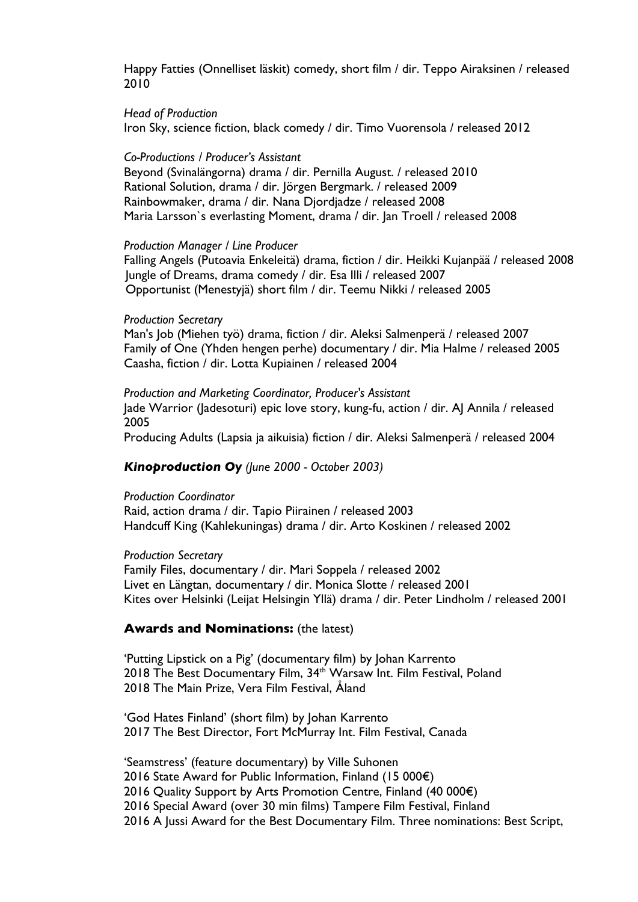Happy Fatties (Onnelliset läskit) comedy, short film / dir. Teppo Airaksinen / released 2010

#### *Head of Production*

Iron Sky, science fiction, black comedy / dir. Timo Vuorensola / released 2012

#### *Co-Productions / Producer's Assistant*

Beyond (Svinalängorna) drama / dir. Pernilla August. / released 2010 Rational Solution, drama / dir. Jörgen Bergmark. / released 2009 Rainbowmaker, drama / dir. Nana Djordjadze / released 2008 Maria Larsson's everlasting Moment, drama / dir. Jan Troell / released 2008

#### *Production Manager / Line Producer*

Falling Angels (Putoavia Enkeleitä) drama, fiction / dir. Heikki Kujanpää / released 2008 Jungle of Dreams, drama comedy / dir. Esa Illi / released 2007 Opportunist (Menestyjä) short film / dir. Teemu Nikki / released 2005

#### *Production Secretary*

Man's Job (Miehen työ) drama, fiction / dir. Aleksi Salmenperä / released 2007 Family of One (Yhden hengen perhe) documentary / dir. Mia Halme / released 2005 Caasha, fiction / dir. Lotta Kupiainen / released 2004

*Production and Marketing Coordinator, Producer's Assistant*  Jade Warrior (Jadesoturi) epic love story, kung-fu, action / dir. AJ Annila / released 2005

Producing Adults (Lapsia ja aikuisia) fiction / dir. Aleksi Salmenperä / released 2004

## *Kinoproduction Oy (June 2000 - October 2003)*

#### *Production Coordinator*

Raid, action drama / dir. Tapio Piirainen / released 2003 Handcuff King (Kahlekuningas) drama / dir. Arto Koskinen / released 2002

#### *Production Secretary*

Family Files, documentary / dir. Mari Soppela / released 2002 Livet en Längtan, documentary / dir. Monica Slotte / released 2001 Kites over Helsinki (Leijat Helsingin Yllä) drama / dir. Peter Lindholm / released 2001

### **Awards and Nominations:** (the latest)

'Putting Lipstick on a Pig' (documentary film) by Johan Karrento 2018 The Best Documentary Film, 34<sup>th</sup> Warsaw Int. Film Festival, Poland 2018 The Main Prize, Vera Film Festival, Åland

'God Hates Finland' (short film) by Johan Karrento 2017 The Best Director, Fort McMurray Int. Film Festival, Canada

'Seamstress' (feature documentary) by Ville Suhonen 2016 State Award for Public Information, Finland (15 000€) 2016 Quality Support by Arts Promotion Centre, Finland (40 000€) 2016 Special Award (over 30 min films) Tampere Film Festival, Finland 2016 A Jussi Award for the Best Documentary Film. Three nominations: Best Script,